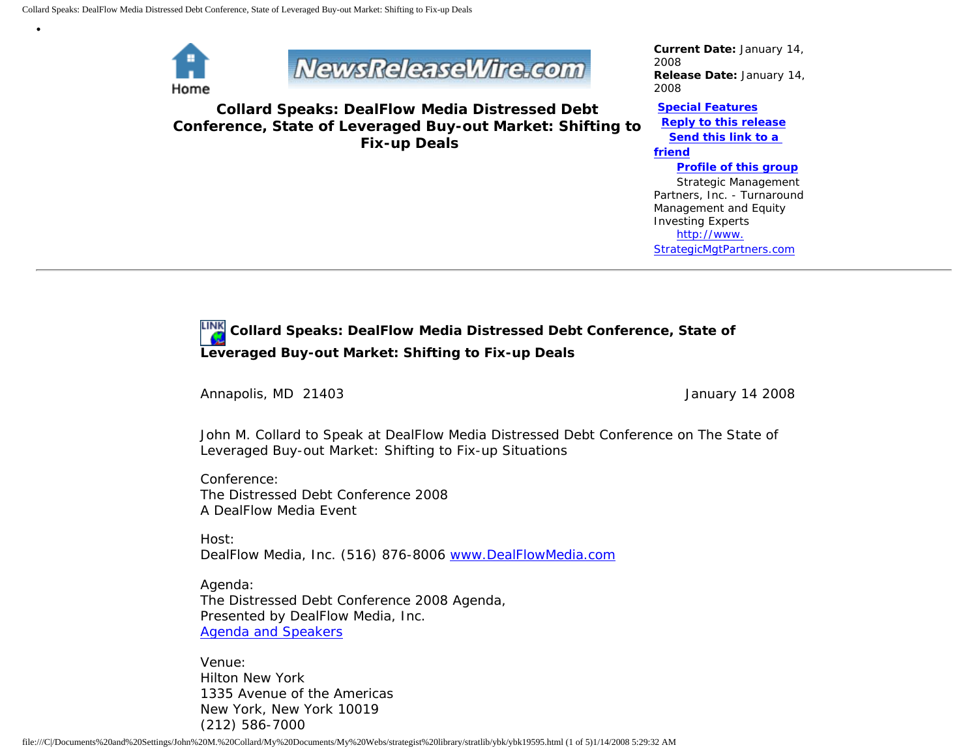

•

NewsReleaseWire.com

**Collard Speaks: DealFlow Media Distressed Debt Conference, State of Leveraged Buy-out Market: Shifting to Fix-up Deals**

*Current Date:* January 14, 2008 *Release Date:* January 14, 2008

**[Special Features](javascript:openlittleme() [Reply to this release](file:///C|/Documents%20and%20Settings/John%20M.%20Collard/My%20Documents/My%20Webs/strategist%20library/stratlib/ybk/default.cfm?Action=ReplyRelease&Id=19595) [Send this link to a](file:///C|/Documents%20and%20Settings/John%20M.%20Collard/My%20Documents/My%20Webs/strategist%20library/stratlib/ybk/default.cfm?Action=SendLink&SendId=19595)  [friend](file:///C|/Documents%20and%20Settings/John%20M.%20Collard/My%20Documents/My%20Webs/strategist%20library/stratlib/ybk/default.cfm?Action=SendLink&SendId=19595) [Profile of this group](file:///C|/Documents%20and%20Settings/John%20M.%20Collard/My%20Documents/My%20Webs/strategist%20library/stratlib/ybk/default.cfm?Action=Profile&ProfileId=623)** Strategic Management Partners, Inc. - Turnaround Management and Equity Investing Experts [http://www.](http://www.strategicmgtpartners.com/) [StrategicMgtPartners.com](http://www.strategicmgtpartners.com/)

## **Collard Speaks: DealFlow Media Distressed Debt Conference, State of Leveraged Buy-out Market: Shifting to Fix-up Deals**

Annapolis, MD 21403 **January 14** 2008

John M. Collard to Speak at DealFlow Media Distressed Debt Conference on The State of Leveraged Buy-out Market: Shifting to Fix-up Situations

Conference: The Distressed Debt Conference 2008 A DealFlow Media Event

Host: DealFlow Media, Inc. (516) 876-8006 [www.DealFlowMedia.com](http://www.dealflowmedia.com/)

Agenda: The Distressed Debt Conference 2008 Agenda, Presented by DealFlow Media, Inc. [Agenda and Speakers](http://www.dealflowmedia.com/conferences/dd_conference_08_agenda.cfm)

Venue: Hilton New York 1335 Avenue of the Americas New York, New York 10019 (212) 586-7000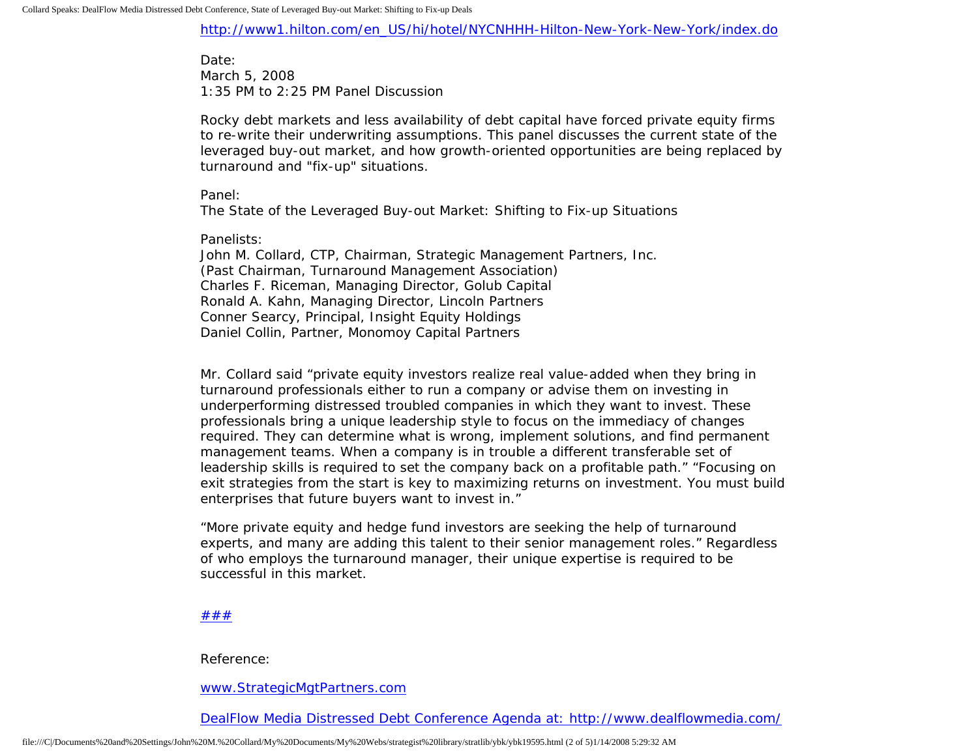[http://www1.hilton.com/en\\_US/hi/hotel/NYCNHHH-Hilton-New-York-New-York/index.do](http://www1.hilton.com/en_US/hi/hotel/NYCNHHH-Hilton-New-York-New-York/index.do)

Date: March 5, 2008 1:35 PM to 2:25 PM Panel Discussion

Rocky debt markets and less availability of debt capital have forced private equity firms to re-write their underwriting assumptions. This panel discusses the current state of the leveraged buy-out market, and how growth-oriented opportunities are being replaced by turnaround and "fix-up" situations.

Panel:

The State of the Leveraged Buy-out Market: Shifting to Fix-up Situations

Panelists:

John M. Collard, CTP, Chairman, Strategic Management Partners, Inc. (Past Chairman, Turnaround Management Association) Charles F. Riceman, Managing Director, Golub Capital Ronald A. Kahn, Managing Director, Lincoln Partners Conner Searcy, Principal, Insight Equity Holdings Daniel Collin, Partner, Monomoy Capital Partners

Mr. Collard said "private equity investors realize real value-added when they bring in turnaround professionals either to run a company or advise them on investing in underperforming distressed troubled companies in which they want to invest. These professionals bring a unique leadership style to focus on the immediacy of changes required. They can determine what is wrong, implement solutions, and find permanent management teams. When a company is in trouble a different transferable set of leadership skills is required to set the company back on a profitable path." "Focusing on exit strategies from the start is key to maximizing returns on investment. You must build enterprises that future buyers want to invest in."

"More private equity and hedge fund investors are seeking the help of turnaround experts, and many are adding this talent to their senior management roles." Regardless of who employs the turnaround manager, their unique expertise is required to be successful in this market.

## [#](http://members.aol.com/Strategist/home.html)[#](http://members.aol.com/Strategist/sitemap.html)[#](http://members.aol.com/Strategist/urllist.txt)

Reference:

[www.StrategicMgtPartners.com](http://www.strategicmgtpartners.com/)

[DealFlow Media Distressed Debt Conference Agenda at: http://www.dealflowmedia.com/](http://www.dealflowmedia.com/conferences/dd_conference_08_agenda.cfm)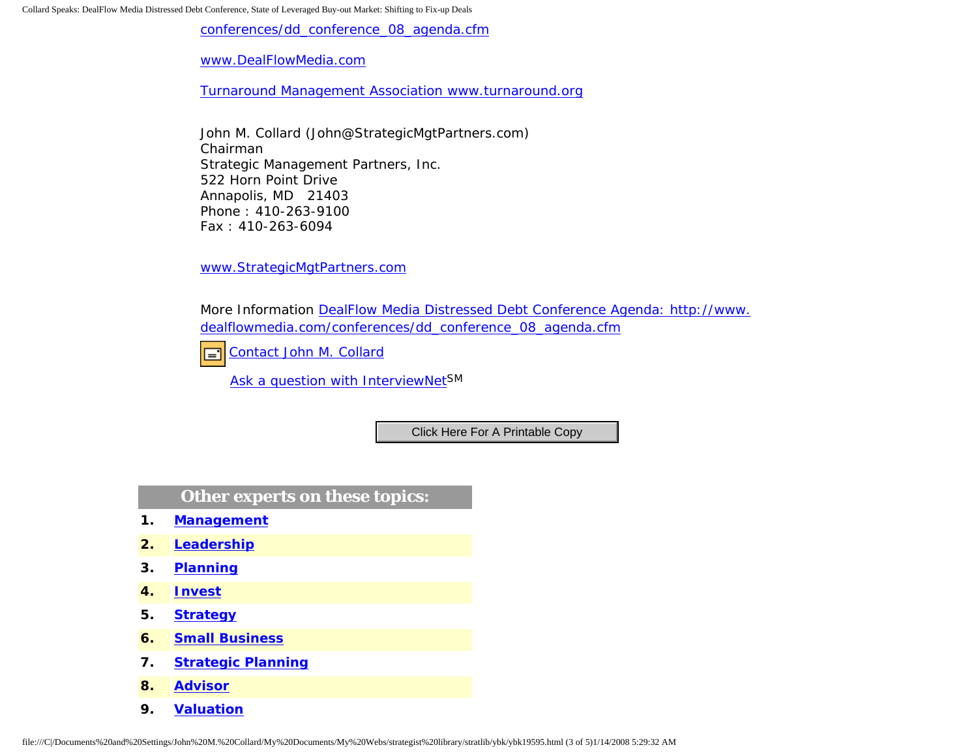Collard Speaks: DealFlow Media Distressed Debt Conference, State of Leveraged Buy-out Market: Shifting to Fix-up Deals

[conferences/dd\\_conference\\_08\\_agenda.cfm](http://www.dealflowmedia.com/conferences/dd_conference_08_agenda.cfm)

[www.DealFlowMedia.com](http://www.dealflowmedia.com/)

[Turnaround Management Association www.turnaround.org](http://www.turnaround.org/)

John M. Collard (John@StrategicMgtPartners.com) Chairman Strategic Management Partners, Inc. 522 Horn Point Drive Annapolis, MD 21403 Phone : 410-263-9100 Fax : 410-263-6094

[www.StrategicMgtPartners.com](http://www.strategicmgtpartners.com/)

More Information [DealFlow Media Distressed Debt Conference Agenda: http://www.](http://www.dealflowmedia.com/conferences/dd_conference_08_agenda.cfm) [dealflowmedia.com/conferences/dd\\_conference\\_08\\_agenda.cfm](http://www.dealflowmedia.com/conferences/dd_conference_08_agenda.cfm)

[Contact John M. Collard](http://www.expertclick.com/expertClick/contact/default.cfm?Action=ContactExpert&GroupID=1016) 口

[Ask a question with InterviewNetS](http://www.expertclick.com/expertClick/contact/default.cfm?GroupID=1016)M

## **Other experts on these topics:**

- **1. [Management](http://www.expertclick.com/search/default.cfm?SearchCriteria=Management)**
- **2. [Leadership](http://www.expertclick.com/search/default.cfm?SearchCriteria=Leadership)**
- **3. [Planning](http://www.expertclick.com/search/default.cfm?SearchCriteria=Planning)**
- **4. [Invest](http://www.expertclick.com/search/default.cfm?SearchCriteria=Invest)**
- **5. [Strategy](http://www.expertclick.com/search/default.cfm?SearchCriteria=Strategy)**
- **6. [Small Business](http://www.expertclick.com/search/default.cfm?SearchCriteria=Small Business)**
- **7. [Strategic Planning](http://www.expertclick.com/search/default.cfm?SearchCriteria=Strategic Planning)**
- **8. [Advisor](http://www.expertclick.com/search/default.cfm?SearchCriteria=Advisor)**
- **9. [Valuation](http://www.expertclick.com/search/default.cfm?SearchCriteria=Valuation)**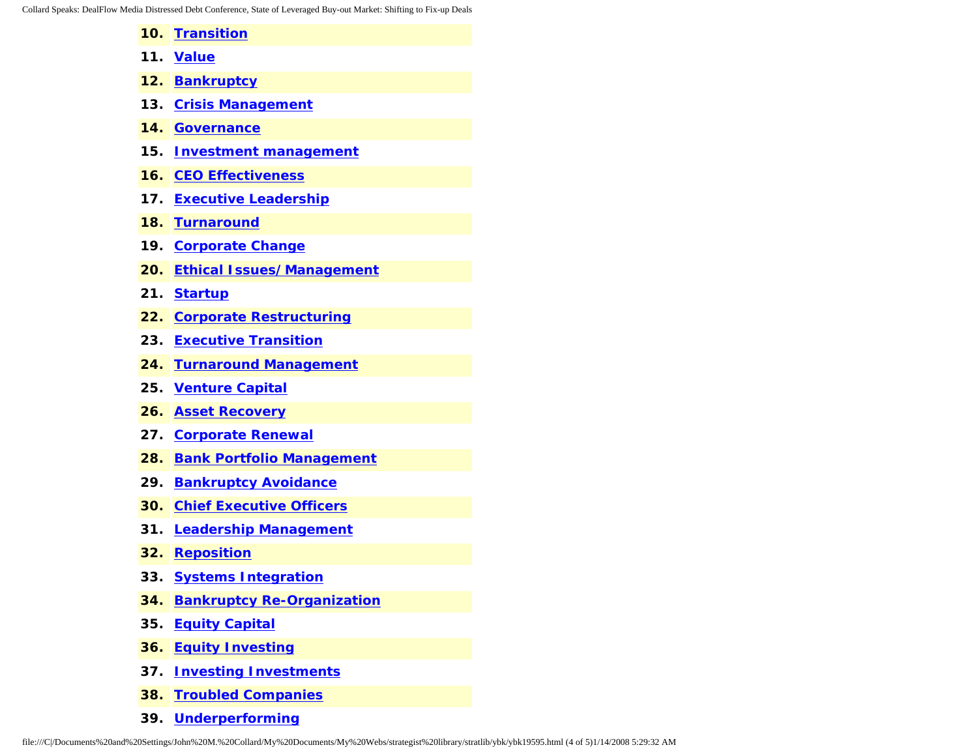Collard Speaks: DealFlow Media Distressed Debt Conference, State of Leveraged Buy-out Market: Shifting to Fix-up Deals

- **10. [Transition](http://www.expertclick.com/search/default.cfm?SearchCriteria=Transition)**
- **11. [Value](http://www.expertclick.com/search/default.cfm?SearchCriteria=Value)**
- **12. [Bankruptcy](http://www.expertclick.com/search/default.cfm?SearchCriteria=Bankruptcy)**
- **13. [Crisis Management](http://www.expertclick.com/search/default.cfm?SearchCriteria=Crisis Management)**
- **14. [Governance](http://www.expertclick.com/search/default.cfm?SearchCriteria=Governance)**
- **15. [Investment management](http://www.expertclick.com/search/default.cfm?SearchCriteria=Investment management)**
- **16. [CEO Effectiveness](http://www.expertclick.com/search/default.cfm?SearchCriteria=CEO Effectiveness)**
- **17. [Executive Leadership](http://www.expertclick.com/search/default.cfm?SearchCriteria=Executive Leadership)**
- **18. [Turnaround](http://www.expertclick.com/search/default.cfm?SearchCriteria=Turnaround)**
- **19. [Corporate Change](http://www.expertclick.com/search/default.cfm?SearchCriteria=Corporate Change)**
- **20. [Ethical Issues/Management](http://www.expertclick.com/search/default.cfm?SearchCriteria=Ethical Issues/Management)**
- **21. [Startup](http://www.expertclick.com/search/default.cfm?SearchCriteria=Startup)**
- **22. [Corporate Restructuring](http://www.expertclick.com/search/default.cfm?SearchCriteria=Corporate Restructuring)**
- **23. [Executive Transition](http://www.expertclick.com/search/default.cfm?SearchCriteria=Executive Transition)**
- **24. [Turnaround Management](http://www.expertclick.com/search/default.cfm?SearchCriteria=Turnaround Management)**
- **25. [Venture Capital](http://www.expertclick.com/search/default.cfm?SearchCriteria=Venture Capital)**
- **26. [Asset Recovery](http://www.expertclick.com/search/default.cfm?SearchCriteria=Asset Recovery)**
- **27. [Corporate Renewal](http://www.expertclick.com/search/default.cfm?SearchCriteria=Corporate Renewal)**
- **28. [Bank Portfolio Management](http://www.expertclick.com/search/default.cfm?SearchCriteria=Bank Portfolio Management)**
- **29. [Bankruptcy Avoidance](http://www.expertclick.com/search/default.cfm?SearchCriteria=Bankruptcy Avoidance)**
- **30. [Chief Executive Officers](http://www.expertclick.com/search/default.cfm?SearchCriteria=Chief Executive Officers)**
- **31. [Leadership Management](http://www.expertclick.com/search/default.cfm?SearchCriteria=Leadership Management)**
- **32. [Reposition](http://www.expertclick.com/search/default.cfm?SearchCriteria=Reposition)**
- **33. [Systems Integration](http://www.expertclick.com/search/default.cfm?SearchCriteria=Systems Integration)**
- **34. [Bankruptcy Re-Organization](http://www.expertclick.com/search/default.cfm?SearchCriteria=Bankruptcy Re-Organization)**
- **35. [Equity Capital](http://www.expertclick.com/search/default.cfm?SearchCriteria=Equity Capital)**
- **36. [Equity Investing](http://www.expertclick.com/search/default.cfm?SearchCriteria=Equity Investing)**
- **37. [Investing Investments](http://www.expertclick.com/search/default.cfm?SearchCriteria=Investing Investments)**
- **38. [Troubled Companies](http://www.expertclick.com/search/default.cfm?SearchCriteria=Troubled Companies)**
- **39. [Underperforming](http://www.expertclick.com/search/default.cfm?SearchCriteria=Underperforming)**